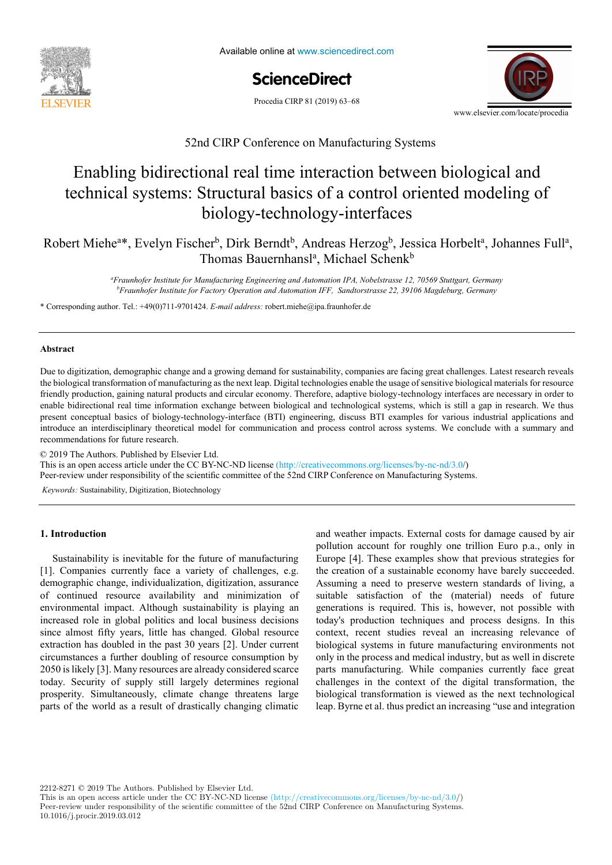

Available online at www.sciencedirect.com

## **ScienceDirect** ScienceDirect Procedia CIRP 00 (2019) 000–000

Procedia CIRP 81 (2019) 63-68



# 52nd CIRP Conference on Manufacturing Systems

## Enabling bidirectional real time interaction between biological and technical systems: Structural basics of a control oriented modeling of<br>hiology-technology-interfaces  $\omega$ isting product family internates  $\omega$  $E$ enabling bidirectional real time interaction biological and time interaction between biological and time interaction between  $E$ \*, Evelyn Fischerb , Jessica Horbelta<br>Horbelta biology-technology-interfaces

*Fraunhoffer Stief and Automation Institute for Manufacturing Thomas Bauernhansl<sup>a</sup>, Michael Schenk<sup>b</sup>* Robert Miehe<sup>a\*</sup>, Evelyn Fischer<sup>b</sup>, Dirk Berndt<sup>b</sup>, Andreas Herzog<sup>b</sup>, Jessica Horbelt<sup>a</sup>, Johannes Full<sup>a</sup>,

<sup>a</sup>Fraunhofer Institute for Manufacturing Engineering and Automation IPA, Nobelstrasse 12, 70569 Stuttgart, Germany <sup>b</sup>Fraunhofer Institute for Factory Operation and Automation IFF, Sandtorstrasse 22, 39106 Magdeburg, Germany

\* Corresponding author. Tel.: +49(0)711-9701424. *E-mail address:* robert.miehe@ipa.fraunhofer.de

#### **Abstract Abstract Abstract**  $D_{\text{SUSU}}$  act

Due to digitization, demographic change and a growing demand for sustainability, companies are facing great challenges. Latest research reveals the biological transformation of manufacturing as the next leap. Digital technologies enable the usage of sensitive biological materials for resource friendly production gaining natural products and circular economy. Therefore adaptive biology-technology interfaces are necessary in order to enable hidirectional real time information exchange between biological and technological systems, which is still a gan in research. We thus nesent concentual basics of biology-technology-interface (RTI) engineering discuss RTI examples for various industrial applications and introduce an interdisciplinary theoretical model for communication and process control across systems. We conclude with a summary and recommendations for future research. friendly production, gaining natural products and circular economy. Therefore, adaptive biology-technology interfaces are necessary in order to enable bidirectional real time information exchange between biological and technological systems, which is still a gap in research. We thus<br>recent contrad later that the state of the state of the Core (DTD) understand the present conceptual basics of biology-technology-interface (BTI) engineering, discuss BTI examples for various industrial applications and<br>interduce on interdictivity theoretical and al for communication and masses sented a © 2019 The Authors. Published by Elsevier Ltd. This is an open access article under the CC BY-NC-ND license

assembly systems. Based on Datum Flow Chain, the physical structure of the products is analyzed. Functional subassemblies are identified, and  $\bullet$  2019 The Additions. Published by Elisabeth Etd. This is an open access article under the CC BY-NC-ND license  $(\frac{http://creativecommons.org/licenses/by-nc-nd/3.0/">http://creativecommons.org/licenses/by-nc-nd/3.0/})$ <br>Rear review under reaponsibility of the exientific committee of the 52nd CIBB Conference on Maufacturing Systems Peer-review under responsibility of the scientific committee of the 52nd CIRP Conference on Manufacturing Systems. Keywords: Sustainability, Digitization, Biotechnology © 2019 The Authors. Published by Elsevier Ltd.

© 2017 The Authors. Published by Elsevier B.V. *Keywords:* Sustainability, Digitization, Biotechnology

# **1. Introduction**

1. Companies currently face a variety of changes, e.g. demographic change, individualization, digitization, assurance environmental impact. Although sustainability is playing an environmental impact. Antiough sustainability is praying an increased role in global politics and local business decisions mereased fore in global politics and local business decisions since almost fifty years, little has changed. Global resource extraction has doubled in the past 30 years [2]. Under current circumstances a further doubling of resource consumption by extraction, the manufacture is a function of the past 30 years are already considered scarce  $2050$  is likely [3]. Many resources are already considered scarce zood is intery [5]. Many resources are already considered scarce today. Security of supply still largely determines regional prosperity. Simultaneously, climate change threatens large parts of the world as a result of drastically changing climatic Sustainability is inevitable for the future of manufacturing [1]. Companies currently face a variety of challenges, e.g. demographic change, murvidualization, digitization, assurance<br>of continued resource availability and minimization of of commuta resource availability and imminization of since annost my years, mue has changed. Global resource way. Security of supply still fargely determines regional the creation of a sustantable economy have barely succeeded.<br>Assuming a need to preserve western standards of living, a Assuming a need to preserve western standards of fiving, a suitable satisfaction of the (material) needs of future generations is required. This is, however, not possible with  $\frac{1}{2}$ today's production techniques and process designs. In this today's production techniques and process designs. In this context, recent studies reveal an increasing relevance of biological systems in future manufacturing environments not only in the process and medical industry, but as well in discrete  $\frac{1}{2}$ parts manufacturing. While companies currently face great challenges in the context of the digital transformation, the biological transformation is viewed as the next technological transformation is viewed as the next technological leap. Byrne et al. thus predict an increasing "use and integration and weather impacts. External costs for damage caused by air pollution account for roughly one trillion Euro p.a., only in  $\Gamma$ Europe [4]. These examples show that previous strategies for Europe [4]. These examples show that previous strategies for the creation of a sustainable economy have barely succeeded.  $\frac{A}{A}$  suitable satisfaction of the  $\frac{A}{A}$  method needs of future tometh, fectures iteration and increasing ferevalue of

2212-8271 © 2019 The Authors. Published by Elsevier Ltd.

This is an open access article under the CC BY-NC-ND license (http://creativecommons.org/licenses/by-nc-nd/3.0/) Peer-review under responsibility of the scientific committee of the 52nd CIRP Conference on Manufacturing Systems. 10.1016/j.procir.2019.03.012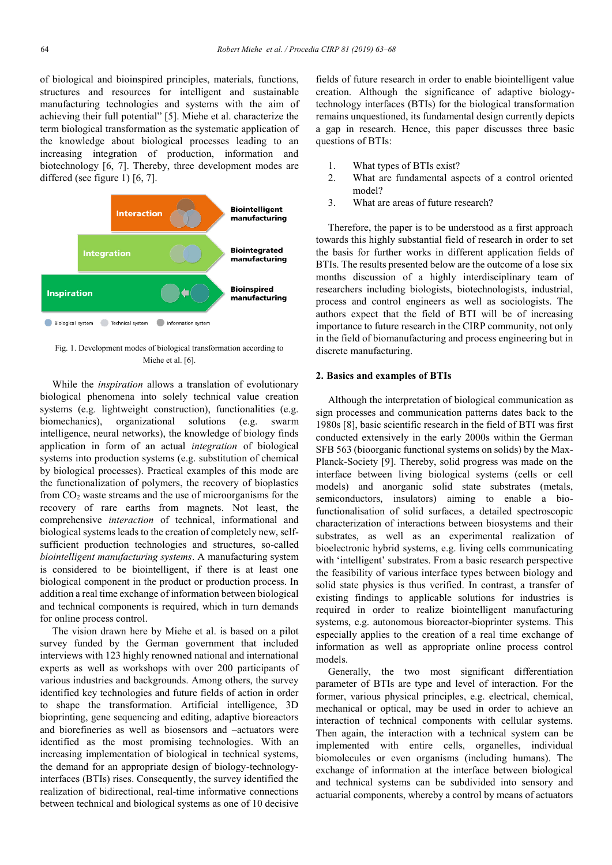of biological and bioinspired principles, materials, functions, structures and resources for intelligent and sustainable manufacturing technologies and systems with the aim of achieving their full potential" [5]. Miehe et al. characterize the term biological transformation as the systematic application of the knowledge about biological processes leading to an increasing integration of production, information and biotechnology [6, 7]. Thereby, three development modes are differed (see figure 1) [6, 7].



Fig. 1. Development modes of biological transformation according to Miehe et al. [6].

While the *inspiration* allows a translation of evolutionary biological phenomena into solely technical value creation systems (e.g. lightweight construction), functionalities (e.g. biomechanics), organizational solutions (e.g. swarm intelligence, neural networks), the knowledge of biology finds application in form of an actual *integration* of biological systems into production systems (e.g. substitution of chemical by biological processes). Practical examples of this mode are the functionalization of polymers, the recovery of bioplastics from CO2 waste streams and the use of microorganisms for the recovery of rare earths from magnets. Not least, the comprehensive *interaction* of technical, informational and biological systems leads to the creation of completely new, selfsufficient production technologies and structures, so-called *biointelligent manufacturing systems*. A manufacturing system is considered to be biointelligent, if there is at least one biological component in the product or production process. In addition a real time exchange of information between biological and technical components is required, which in turn demands for online process control.

The vision drawn here by Miehe et al. is based on a pilot survey funded by the German government that included interviews with 123 highly renowned national and international experts as well as workshops with over 200 participants of various industries and backgrounds. Among others, the survey identified key technologies and future fields of action in order to shape the transformation. Artificial intelligence, 3D bioprinting, gene sequencing and editing, adaptive bioreactors and biorefineries as well as biosensors and –actuators were identified as the most promising technologies. With an increasing implementation of biological in technical systems, the demand for an appropriate design of biology-technologyinterfaces (BTIs) rises. Consequently, the survey identified the realization of bidirectional, real-time informative connections between technical and biological systems as one of 10 decisive

fields of future research in order to enable biointelligent value creation. Although the significance of adaptive biologytechnology interfaces (BTIs) for the biological transformation remains unquestioned, its fundamental design currently depicts a gap in research. Hence, this paper discusses three basic questions of BTIs:

- 1. What types of BTIs exist?
- 2. What are fundamental aspects of a control oriented model?
- 3. What are areas of future research?

Therefore, the paper is to be understood as a first approach towards this highly substantial field of research in order to set the basis for further works in different application fields of BTIs. The results presented below are the outcome of a lose six months discussion of a highly interdisciplinary team of researchers including biologists, biotechnologists, industrial, process and control engineers as well as sociologists. The authors expect that the field of BTI will be of increasing importance to future research in the CIRP community, not only in the field of biomanufacturing and process engineering but in discrete manufacturing.

### **2. Basics and examples of BTIs**

Although the interpretation of biological communication as sign processes and communication patterns dates back to the 1980s [8], basic scientific research in the field of BTI was first conducted extensively in the early 2000s within the German SFB 563 (bioorganic functional systems on solids) by the Max-Planck-Society [9]. Thereby, solid progress was made on the interface between living biological systems (cells or cell models) and anorganic solid state substrates (metals, semiconductors, insulators) aiming to enable a biofunctionalisation of solid surfaces, a detailed spectroscopic characterization of interactions between biosystems and their substrates, as well as an experimental realization of bioelectronic hybrid systems, e.g. living cells communicating with 'intelligent' substrates. From a basic research perspective the feasibility of various interface types between biology and solid state physics is thus verified. In contrast, a transfer of existing findings to applicable solutions for industries is required in order to realize biointelligent manufacturing systems, e.g. autonomous bioreactor-bioprinter systems. This especially applies to the creation of a real time exchange of information as well as appropriate online process control models.

Generally, the two most significant differentiation parameter of BTIs are type and level of interaction. For the former, various physical principles, e.g. electrical, chemical, mechanical or optical, may be used in order to achieve an interaction of technical components with cellular systems. Then again, the interaction with a technical system can be implemented with entire cells, organelles, individual biomolecules or even organisms (including humans). The exchange of information at the interface between biological and technical systems can be subdivided into sensory and actuarial components, whereby a control by means of actuators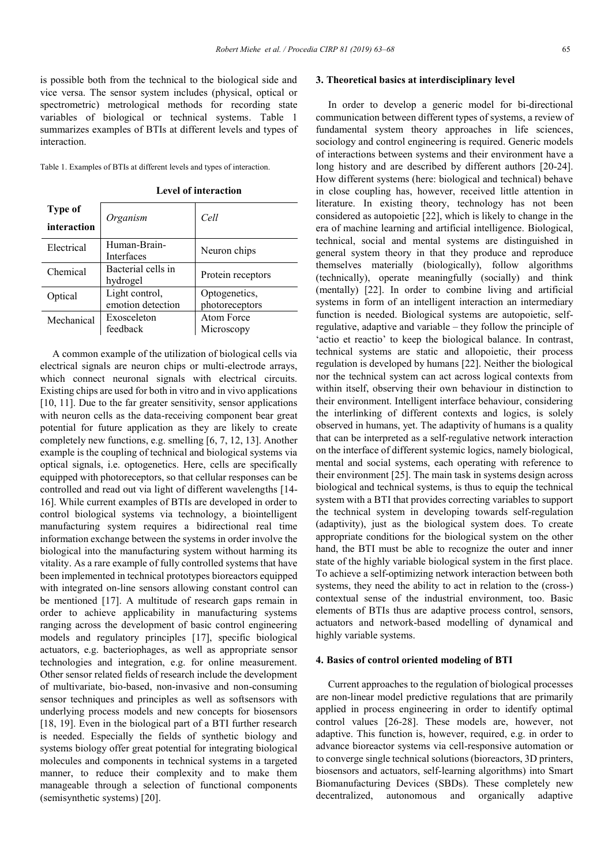is possible both from the technical to the biological side and vice versa. The sensor system includes (physical, optical or spectrometric) metrological methods for recording state variables of biological or technical systems. Table 1 summarizes examples of BTIs at different levels and types of interaction.

Table 1. Examples of BTIs at different levels and types of interaction.

| <b>Type of</b><br>interaction | Organism                            | Cell                            |
|-------------------------------|-------------------------------------|---------------------------------|
| Electrical                    | Human-Brain-<br>Interfaces          | Neuron chips                    |
| Chemical                      | Bacterial cells in<br>hydrogel      | Protein receptors               |
| Optical                       | Light control,<br>emotion detection | Optogenetics,<br>photoreceptors |
| Mechanical                    | Exosceleton<br>feedback             | Atom Force<br>Microscopy        |

**Level of interaction**

A common example of the utilization of biological cells via electrical signals are neuron chips or multi-electrode arrays, which connect neuronal signals with electrical circuits. Existing chips are used for both in vitro and in vivo applications [10, 11]. Due to the far greater sensitivity, sensor applications with neuron cells as the data-receiving component bear great potential for future application as they are likely to create completely new functions, e.g. smelling [6, 7, 12, 13]. Another example is the coupling of technical and biological systems via optical signals, i.e. optogenetics. Here, cells are specifically equipped with photoreceptors, so that cellular responses can be controlled and read out via light of different wavelengths [14- 16]. While current examples of BTIs are developed in order to control biological systems via technology, a biointelligent manufacturing system requires a bidirectional real time information exchange between the systems in order involve the biological into the manufacturing system without harming its vitality. As a rare example of fully controlled systems that have been implemented in technical prototypes bioreactors equipped with integrated on-line sensors allowing constant control can be mentioned [17]. A multitude of research gaps remain in order to achieve applicability in manufacturing systems ranging across the development of basic control engineering models and regulatory principles [17], specific biological actuators, e.g. bacteriophages, as well as appropriate sensor technologies and integration, e.g. for online measurement. Other sensor related fields of research include the development of multivariate, bio-based, non-invasive and non-consuming sensor techniques and principles as well as softsensors with underlying process models and new concepts for biosensors [18, 19]. Even in the biological part of a BTI further research is needed. Especially the fields of synthetic biology and systems biology offer great potential for integrating biological molecules and components in technical systems in a targeted manner, to reduce their complexity and to make them manageable through a selection of functional components (semisynthetic systems) [20].

### **3. Theoretical basics at interdisciplinary level**

In order to develop a generic model for bi-directional communication between different types of systems, a review of fundamental system theory approaches in life sciences, sociology and control engineering is required. Generic models of interactions between systems and their environment have a long history and are described by different authors [20-24]. How different systems (here: biological and technical) behave in close coupling has, however, received little attention in literature. In existing theory, technology has not been considered as autopoietic [22], which is likely to change in the era of machine learning and artificial intelligence. Biological, technical, social and mental systems are distinguished in general system theory in that they produce and reproduce themselves materially (biologically), follow algorithms (technically), operate meaningfully (socially) and think (mentally) [22]. In order to combine living and artificial systems in form of an intelligent interaction an intermediary function is needed. Biological systems are autopoietic, selfregulative, adaptive and variable – they follow the principle of 'actio et reactio' to keep the biological balance. In contrast, technical systems are static and allopoietic, their process regulation is developed by humans [22]. Neither the biological nor the technical system can act across logical contexts from within itself, observing their own behaviour in distinction to their environment. Intelligent interface behaviour, considering the interlinking of different contexts and logics, is solely observed in humans, yet. The adaptivity of humans is a quality that can be interpreted as a self-regulative network interaction on the interface of different systemic logics, namely biological, mental and social systems, each operating with reference to their environment [25]. The main task in systems design across biological and technical systems, is thus to equip the technical system with a BTI that provides correcting variables to support the technical system in developing towards self-regulation (adaptivity), just as the biological system does. To create appropriate conditions for the biological system on the other hand, the BTI must be able to recognize the outer and inner state of the highly variable biological system in the first place. To achieve a self-optimizing network interaction between both systems, they need the ability to act in relation to the (cross-) contextual sense of the industrial environment, too. Basic elements of BTIs thus are adaptive process control, sensors, actuators and network-based modelling of dynamical and highly variable systems.

#### **4. Basics of control oriented modeling of BTI**

Current approaches to the regulation of biological processes are non-linear model predictive regulations that are primarily applied in process engineering in order to identify optimal control values [26-28]. These models are, however, not adaptive. This function is, however, required, e.g. in order to advance bioreactor systems via cell-responsive automation or to converge single technical solutions (bioreactors, 3D printers, biosensors and actuators, self-learning algorithms) into Smart Biomanufacturing Devices (SBDs). These completely new decentralized, autonomous and organically adaptive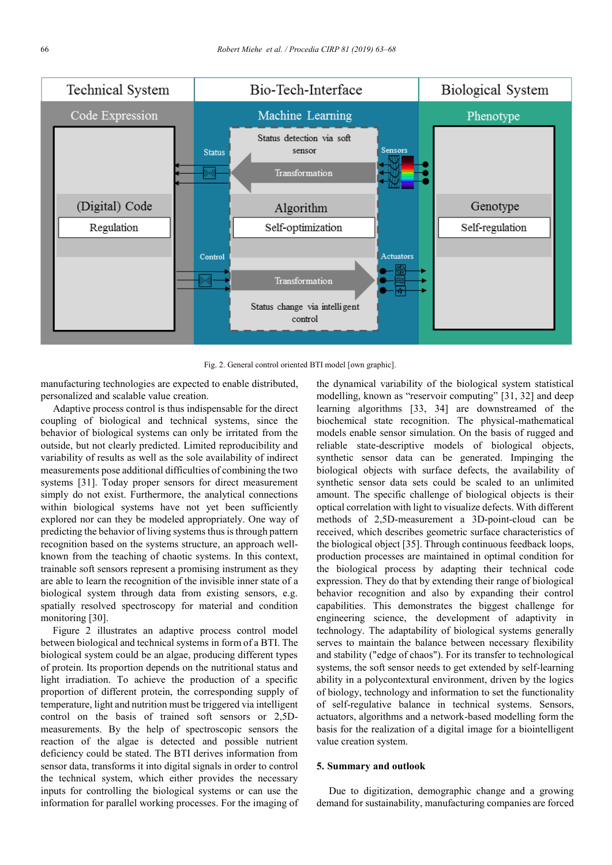

Fig. 2. General control oriented BTI model [own graphic].

manufacturing technologies are expected to enable distributed, personalized and scalable value creation.

Adaptive process control is thus indispensable for the direct coupling of biological and technical systems, since the behavior of biological systems can only be irritated from the outside, but not clearly predicted. Limited reproducibility and variability of results as well as the sole availability of indirect measurements pose additional difficulties of combining the two systems [31]. Today proper sensors for direct measurement simply do not exist. Furthermore, the analytical connections within biological systems have not yet been sufficiently explored nor can they be modeled appropriately. One way of predicting the behavior of living systems thus is through pattern recognition based on the systems structure, an approach wellknown from the teaching of chaotic systems. In this context, trainable soft sensors represent a promising instrument as they are able to learn the recognition of the invisible inner state of a biological system through data from existing sensors, e.g. spatially resolved spectroscopy for material and condition monitoring [30].

Figure 2 illustrates an adaptive process control model between biological and technical systems in form of a BTI. The biological system could be an algae, producing different types of protein. Its proportion depends on the nutritional status and light irradiation. To achieve the production of a specific proportion of different protein, the corresponding supply of temperature, light and nutrition must be triggered via intelligent control on the basis of trained soft sensors or 2,5Dmeasurements. By the help of spectroscopic sensors the reaction of the algae is detected and possible nutrient deficiency could be stated. The BTI derives information from sensor data, transforms it into digital signals in order to control the technical system, which either provides the necessary inputs for controlling the biological systems or can use the information for parallel working processes. For the imaging of the dynamical variability of the biological system statistical modelling, known as "reservoir computing" [31, 32] and deep learning algorithms [33, 34] are downstreamed of the biochemical state recognition. The physical-mathematical models enable sensor simulation. On the basis of rugged and reliable state-descriptive models of biological objects, synthetic sensor data can be generated. Impinging the biological objects with surface defects, the availability of synthetic sensor data sets could be scaled to an unlimited amount. The specific challenge of biological objects is their optical correlation with light to visualize defects. With different methods of 2,5D-measurement a 3D-point-cloud can be received, which describes geometric surface characteristics of the biological object [35]. Through continuous feedback loops, production processes are maintained in optimal condition for the biological process by adapting their technical code expression. They do that by extending their range of biological behavior recognition and also by expanding their control capabilities. This demonstrates the biggest challenge for engineering science, the development of adaptivity in technology. The adaptability of biological systems generally serves to maintain the balance between necessary flexibility and stability ("edge of chaos"). For its transfer to technological systems, the soft sensor needs to get extended by self-learning ability in a polycontextural environment, driven by the logics of biology, technology and information to set the functionality of self-regulative balance in technical systems. Sensors, actuators, algorithms and a network-based modelling form the basis for the realization of a digital image for a biointelligent value creation system.

#### **5. Summary and outlook**

Due to digitization, demographic change and a growing demand for sustainability, manufacturing companies are forced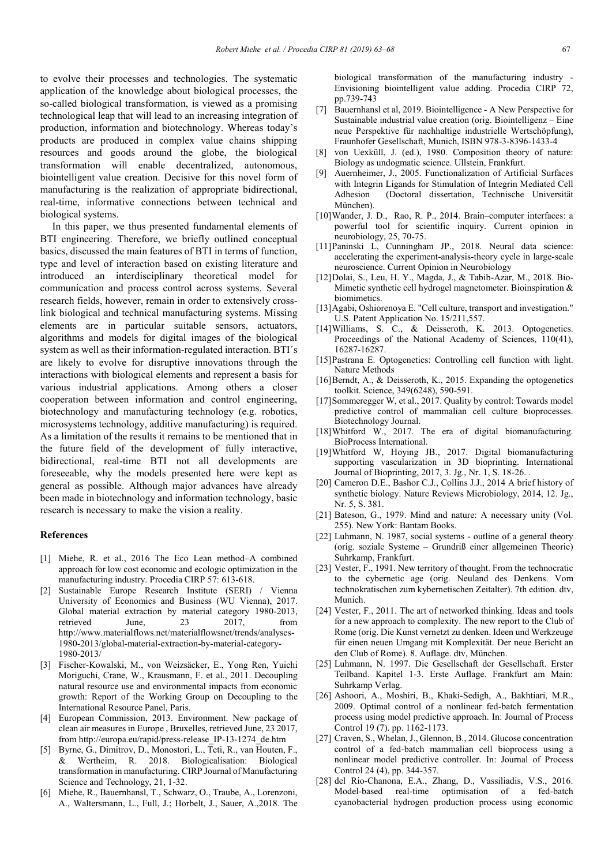to evolve their processes and technologies. The systematic application of the knowledge about biological processes, the so-called biological transformation, is viewed as a promising technological leap that will lead to an increasing integration of production, information and biotechnology. Whereas today's products are produced in complex value chains shipping resources and goods around the globe, the biological transformation will enable decentralized, autonomous, biointelligent value creation. Decisive for this novel form of manufacturing is the realization of appropriate bidirectional, real-time, informative connections between technical and biological systems.

In this paper, we thus presented fundamental elements of BTI engineering. Therefore, we briefly outlined conceptual basics, discussed the main features of BTI in terms of function, type and level of interaction based on existing literature and introduced an interdisciplinary theoretical model for communication and process control across systems. Several research fields, however, remain in order to extensively crosslink biological and technical manufacturing systems. Missing elements are in particular suitable sensors, actuators, algorithms and models for digital images of the biological system as well as their information-regulated interaction. BTI´s are likely to evolve for disruptive innovations through the interactions with biological elements and represent a basis for various industrial applications. Among others a closer cooperation between information and control engineering, biotechnology and manufacturing technology (e.g. robotics, microsystems technology, additive manufacturing) is required. As a limitation of the results it remains to be mentioned that in the future field of the development of fully interactive, bidirectional, real-time BTI not all developments are foreseeable, why the models presented here were kept as general as possible. Although major advances have already been made in biotechnology and information technology, basic research is necessary to make the vision a reality.

#### **References**

- [1] Miehe, R. et al., 2016 The Eco Lean method–A combined approach for low cost economic and ecologic optimization in the manufacturing industry. Procedia CIRP 57: 613-618.
- [2] Sustainable Europe Research Institute (SERI) / Vienna University of Economics and Business (WU Vienna), 2017. Global material extraction by material category 1980-2013, retrieved June, 23 2017, from http://www.materialflows.net/materialflowsnet/trends/analyses-1980-2013/global-material-extraction-by-material-category-1980-2013/
- [3] Fischer-Kowalski, M., von Weizsäcker, E., Yong Ren, Yuichi Moriguchi, Crane, W., Krausmann, F. et al., 2011. Decoupling natural resource use and environmental impacts from economic growth: Report of the Working Group on Decoupling to the International Resource Panel, Paris.
- [4] European Commission, 2013. Environment. New package of clean air measures in Europe , Bruxelles, retrieved June, 23 2017, from http://europa.eu/rapid/press-release\_IP-13-1274\_de.htm
- [5] Byrne, G., Dimitrov, D., Monostori, L., Teti, R., van Houten, F., & Wertheim, R. 2018. Biologicalisation: Biological transformation in manufacturing. CIRP Journal of Manufacturing Science and Technology, 21, 1-32.
- [6] Miehe, R., Bauernhansl, T., Schwarz, O., Traube, A., Lorenzoni, A., Waltersmann, L., Full, J.; Horbelt, J., Sauer, A.,2018. The

biological transformation of the manufacturing industry - Envisioning biointelligent value adding. Procedia CIRP 72, pp.739-743

- [7] Bauernhansl et al, 2019. Biointelligence A New Perspective for Sustainable industrial value creation (orig. Biointelligenz – Eine neue Perspektive für nachhaltige industrielle Wertschöpfung), Fraunhofer Gesellschaft, Munich, ISBN 978-3-8396-1433-4
- [8] von Uexküll, J. (ed.), 1980. Composition theory of nature: Biology as undogmatic science. Ullstein, Frankfurt.
- [9] Auernheimer, J., 2005. Functionalization of Artificial Surfaces with Integrin Ligands for Stimulation of Integrin Mediated Cell Adhesion (Doctoral dissertation, Technische Universität München).
- [10]Wander, J. D., Rao, R. P., 2014. Brain–computer interfaces: a powerful tool for scientific inquiry. Current opinion in neurobiology, 25, 70-75.
- [11]Paninski L, Cunningham JP., 2018. Neural data science: accelerating the experiment-analysis-theory cycle in large-scale neuroscience. Current Opinion in Neurobiology
- [12]Dolai, S., Leu, H. Y., Magda, J., & Tabib-Azar, M., 2018. Bio-Mimetic synthetic cell hydrogel magnetometer. Bioinspiration & biomimetics.
- [13]Agabi, Oshiorenoya E. "Cell culture, transport and investigation." U.S. Patent Application No. 15/211,557.
- [14]Williams, S. C., & Deisseroth, K. 2013. Optogenetics. Proceedings of the National Academy of Sciences, 110(41), 16287-16287.
- [15]Pastrana E. Optogenetics: Controlling cell function with light. Nature Methods
- [16]Berndt, A., & Deisseroth, K., 2015. Expanding the optogenetics toolkit. Science, 349(6248), 590-591.
- [17]Sommeregger W, et al., 2017. Quality by control: Towards model predictive control of mammalian cell culture bioprocesses. Biotechnology Journal.
- [18]Whitford W., 2017. The era of digital biomanufacturing. BioProcess International.
- [19]Whitford W, Hoying JB., 2017. Digital biomanufacturing supporting vascularization in 3D bioprinting. International Journal of Bioprinting, 2017, 3. Jg., Nr. 1, S. 18-26. .
- [20] Cameron D.E., Bashor C.J., Collins J.J., 2014 A brief history of synthetic biology. Nature Reviews Microbiology, 2014, 12. Jg., Nr. 5, S. 381.
- [21] Bateson, G., 1979. Mind and nature: A necessary unity (Vol. 255). New York: Bantam Books.
- [22] Luhmann, N. 1987, social systems outline of a general theory (orig. soziale Systeme – Grundriß einer allgemeinen Theorie) Suhrkamp, Frankfurt.
- [23] Vester, F., 1991. New territory of thought. From the technocratic to the cybernetic age (orig. Neuland des Denkens. Vom technokratischen zum kybernetischen Zeitalter). 7th edition. dtv, Munich.
- [24] Vester, F., 2011. The art of networked thinking. Ideas and tools for a new approach to complexity. The new report to the Club of Rome (orig. Die Kunst vernetzt zu denken. Ideen und Werkzeuge für einen neuen Umgang mit Komplexität. Der neue Bericht an den Club of Rome). 8. Auflage. dtv, München.
- [25] Luhmann, N. 1997. Die Gesellschaft der Gesellschaft. Erster Teilband. Kapitel 1-3. Erste Auflage. Frankfurt am Main: Suhrkamp Verlag.
- [26] Ashoori, A., Moshiri, B., Khaki-Sedigh, A., Bakhtiari, M.R., 2009. Optimal control of a nonlinear fed-batch fermentation process using model predictive approach. In: Journal of Process Control 19 (7). pp. 1162-1173.
- [27] Craven, S., Whelan, J., Glennon, B., 2014. Glucose concentration control of a fed-batch mammalian cell bioprocess using a nonlinear model predictive controller. In: Journal of Process Control 24 (4), pp. 344-357.
- [28] del Rio-Chanona, E.A., Zhang, D., Vassiliadis, V.S., 2016. Model-based real-time optimisation of a fed-batch cyanobacterial hydrogen production process using economic